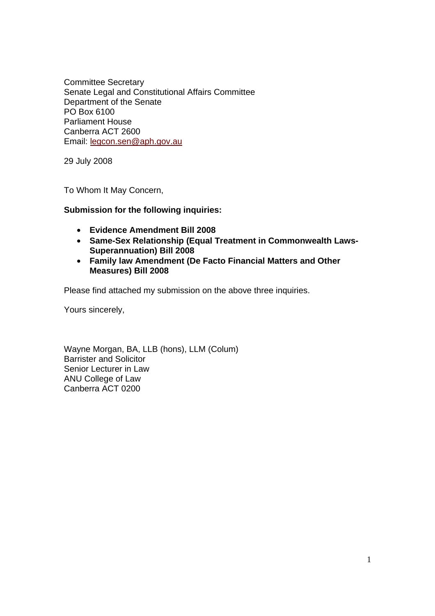Committee Secretary Senate Legal and Constitutional Affairs Committee Department of the Senate PO Box 6100 Parliament House Canberra ACT 2600 Email: legcon.sen@aph.gov.au

29 July 2008

To Whom It May Concern,

## **Submission for the following inquiries:**

- **Evidence Amendment Bill 2008**
- **Same-Sex Relationship (Equal Treatment in Commonwealth Laws-Superannuation) Bill 2008**
- **Family law Amendment (De Facto Financial Matters and Other Measures) Bill 2008**

Please find attached my submission on the above three inquiries.

Yours sincerely,

Wayne Morgan, BA, LLB (hons), LLM (Colum) Barrister and Solicitor Senior Lecturer in Law ANU College of Law Canberra ACT 0200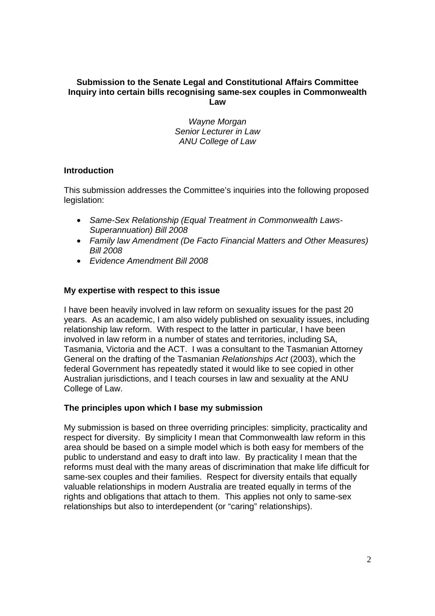## **Submission to the Senate Legal and Constitutional Affairs Committee Inquiry into certain bills recognising same-sex couples in Commonwealth Law**

*Wayne Morgan Senior Lecturer in Law ANU College of Law*

# **Introduction**

This submission addresses the Committee's inquiries into the following proposed legislation:

- *Same-Sex Relationship (Equal Treatment in Commonwealth Laws-Superannuation) Bill 2008*
- *Family law Amendment (De Facto Financial Matters and Other Measures) Bill 2008*
- *Evidence Amendment Bill 2008*

## **My expertise with respect to this issue**

I have been heavily involved in law reform on sexuality issues for the past 20 years. As an academic, I am also widely published on sexuality issues, including relationship law reform. With respect to the latter in particular, I have been involved in law reform in a number of states and territories, including SA, Tasmania, Victoria and the ACT. I was a consultant to the Tasmanian Attorney General on the drafting of the Tasmanian *Relationships Act* (2003), which the federal Government has repeatedly stated it would like to see copied in other Australian jurisdictions, and I teach courses in law and sexuality at the ANU College of Law.

#### **The principles upon which I base my submission**

My submission is based on three overriding principles: simplicity, practicality and respect for diversity. By simplicity I mean that Commonwealth law reform in this area should be based on a simple model which is both easy for members of the public to understand and easy to draft into law. By practicality I mean that the reforms must deal with the many areas of discrimination that make life difficult for same-sex couples and their families. Respect for diversity entails that equally valuable relationships in modern Australia are treated equally in terms of the rights and obligations that attach to them. This applies not only to same-sex relationships but also to interdependent (or "caring" relationships).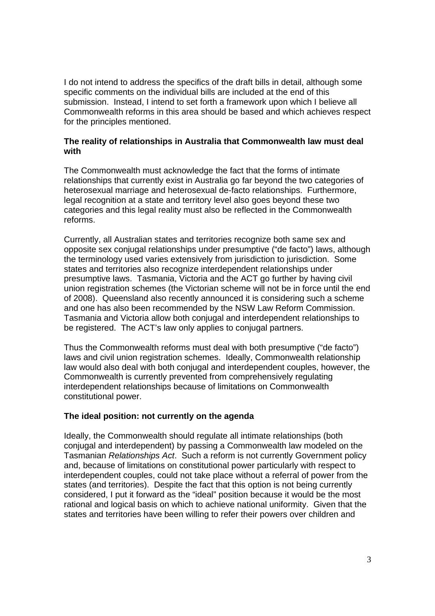I do not intend to address the specifics of the draft bills in detail, although some specific comments on the individual bills are included at the end of this submission. Instead, I intend to set forth a framework upon which I believe all Commonwealth reforms in this area should be based and which achieves respect for the principles mentioned.

## **The reality of relationships in Australia that Commonwealth law must deal with**

The Commonwealth must acknowledge the fact that the forms of intimate relationships that currently exist in Australia go far beyond the two categories of heterosexual marriage and heterosexual de-facto relationships. Furthermore, legal recognition at a state and territory level also goes beyond these two categories and this legal reality must also be reflected in the Commonwealth reforms.

Currently, all Australian states and territories recognize both same sex and opposite sex conjugal relationships under presumptive ("de facto") laws, although the terminology used varies extensively from jurisdiction to jurisdiction. Some states and territories also recognize interdependent relationships under presumptive laws. Tasmania, Victoria and the ACT go further by having civil union registration schemes (the Victorian scheme will not be in force until the end of 2008). Queensland also recently announced it is considering such a scheme and one has also been recommended by the NSW Law Reform Commission. Tasmania and Victoria allow both conjugal and interdependent relationships to be registered. The ACT's law only applies to conjugal partners.

Thus the Commonwealth reforms must deal with both presumptive ("de facto") laws and civil union registration schemes. Ideally, Commonwealth relationship law would also deal with both conjugal and interdependent couples, however, the Commonwealth is currently prevented from comprehensively regulating interdependent relationships because of limitations on Commonwealth constitutional power.

# **The ideal position: not currently on the agenda**

Ideally, the Commonwealth should regulate all intimate relationships (both conjugal and interdependent) by passing a Commonwealth law modeled on the Tasmanian *Relationships Act*. Such a reform is not currently Government policy and, because of limitations on constitutional power particularly with respect to interdependent couples, could not take place without a referral of power from the states (and territories). Despite the fact that this option is not being currently considered, I put it forward as the "ideal" position because it would be the most rational and logical basis on which to achieve national uniformity. Given that the states and territories have been willing to refer their powers over children and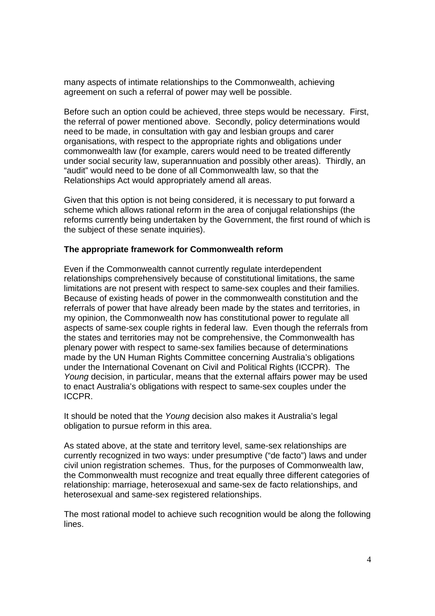many aspects of intimate relationships to the Commonwealth, achieving agreement on such a referral of power may well be possible.

Before such an option could be achieved, three steps would be necessary. First, the referral of power mentioned above. Secondly, policy determinations would need to be made, in consultation with gay and lesbian groups and carer organisations, with respect to the appropriate rights and obligations under commonwealth law (for example, carers would need to be treated differently under social security law, superannuation and possibly other areas). Thirdly, an "audit" would need to be done of all Commonwealth law, so that the Relationships Act would appropriately amend all areas.

Given that this option is not being considered, it is necessary to put forward a scheme which allows rational reform in the area of conjugal relationships (the reforms currently being undertaken by the Government, the first round of which is the subject of these senate inquiries).

#### **The appropriate framework for Commonwealth reform**

Even if the Commonwealth cannot currently regulate interdependent relationships comprehensively because of constitutional limitations, the same limitations are not present with respect to same-sex couples and their families. Because of existing heads of power in the commonwealth constitution and the referrals of power that have already been made by the states and territories, in my opinion, the Commonwealth now has constitutional power to regulate all aspects of same-sex couple rights in federal law. Even though the referrals from the states and territories may not be comprehensive, the Commonwealth has plenary power with respect to same-sex families because of determinations made by the UN Human Rights Committee concerning Australia's obligations under the International Covenant on Civil and Political Rights (ICCPR). The *Young* decision, in particular, means that the external affairs power may be used to enact Australia's obligations with respect to same-sex couples under the ICCPR.

It should be noted that the *Young* decision also makes it Australia's legal obligation to pursue reform in this area.

As stated above, at the state and territory level, same-sex relationships are currently recognized in two ways: under presumptive ("de facto") laws and under civil union registration schemes. Thus, for the purposes of Commonwealth law, the Commonwealth must recognize and treat equally three different categories of relationship: marriage, heterosexual and same-sex de facto relationships, and heterosexual and same-sex registered relationships.

The most rational model to achieve such recognition would be along the following lines.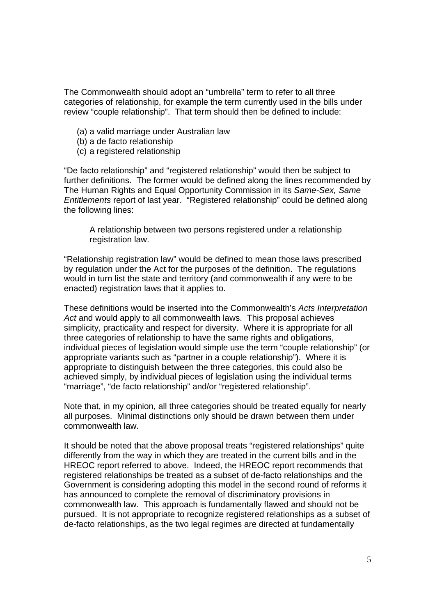The Commonwealth should adopt an "umbrella" term to refer to all three categories of relationship, for example the term currently used in the bills under review "couple relationship". That term should then be defined to include:

- (a) a valid marriage under Australian law
- (b) a de facto relationship
- (c) a registered relationship

"De facto relationship" and "registered relationship" would then be subject to further definitions. The former would be defined along the lines recommended by The Human Rights and Equal Opportunity Commission in its *Same-Sex, Same Entitlements* report of last year. "Registered relationship" could be defined along the following lines:

 A relationship between two persons registered under a relationship registration law.

"Relationship registration law" would be defined to mean those laws prescribed by regulation under the Act for the purposes of the definition. The regulations would in turn list the state and territory (and commonwealth if any were to be enacted) registration laws that it applies to.

These definitions would be inserted into the Commonwealth's *Acts Interpretation Act* and would apply to all commonwealth laws. This proposal achieves simplicity, practicality and respect for diversity. Where it is appropriate for all three categories of relationship to have the same rights and obligations, individual pieces of legislation would simple use the term "couple relationship" (or appropriate variants such as "partner in a couple relationship"). Where it is appropriate to distinguish between the three categories, this could also be achieved simply, by individual pieces of legislation using the individual terms "marriage", "de facto relationship" and/or "registered relationship".

Note that, in my opinion, all three categories should be treated equally for nearly all purposes. Minimal distinctions only should be drawn between them under commonwealth law.

It should be noted that the above proposal treats "registered relationships" quite differently from the way in which they are treated in the current bills and in the HREOC report referred to above. Indeed, the HREOC report recommends that registered relationships be treated as a subset of de-facto relationships and the Government is considering adopting this model in the second round of reforms it has announced to complete the removal of discriminatory provisions in commonwealth law. This approach is fundamentally flawed and should not be pursued. It is not appropriate to recognize registered relationships as a subset of de-facto relationships, as the two legal regimes are directed at fundamentally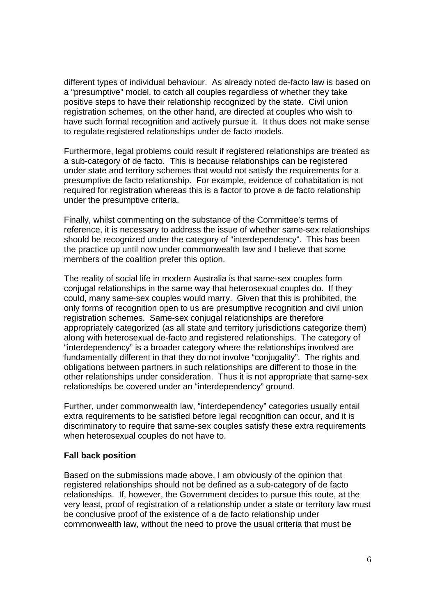different types of individual behaviour. As already noted de-facto law is based on a "presumptive" model, to catch all couples regardless of whether they take positive steps to have their relationship recognized by the state. Civil union registration schemes, on the other hand, are directed at couples who wish to have such formal recognition and actively pursue it. It thus does not make sense to regulate registered relationships under de facto models.

Furthermore, legal problems could result if registered relationships are treated as a sub-category of de facto. This is because relationships can be registered under state and territory schemes that would not satisfy the requirements for a presumptive de facto relationship. For example, evidence of cohabitation is not required for registration whereas this is a factor to prove a de facto relationship under the presumptive criteria.

Finally, whilst commenting on the substance of the Committee's terms of reference, it is necessary to address the issue of whether same-sex relationships should be recognized under the category of "interdependency". This has been the practice up until now under commonwealth law and I believe that some members of the coalition prefer this option.

The reality of social life in modern Australia is that same-sex couples form conjugal relationships in the same way that heterosexual couples do. If they could, many same-sex couples would marry. Given that this is prohibited, the only forms of recognition open to us are presumptive recognition and civil union registration schemes. Same-sex conjugal relationships are therefore appropriately categorized (as all state and territory jurisdictions categorize them) along with heterosexual de-facto and registered relationships. The category of "interdependency" is a broader category where the relationships involved are fundamentally different in that they do not involve "conjugality". The rights and obligations between partners in such relationships are different to those in the other relationships under consideration. Thus it is not appropriate that same-sex relationships be covered under an "interdependency" ground.

Further, under commonwealth law, "interdependency" categories usually entail extra requirements to be satisfied before legal recognition can occur, and it is discriminatory to require that same-sex couples satisfy these extra requirements when heterosexual couples do not have to.

#### **Fall back position**

Based on the submissions made above, I am obviously of the opinion that registered relationships should not be defined as a sub-category of de facto relationships. If, however, the Government decides to pursue this route, at the very least, proof of registration of a relationship under a state or territory law must be conclusive proof of the existence of a de facto relationship under commonwealth law, without the need to prove the usual criteria that must be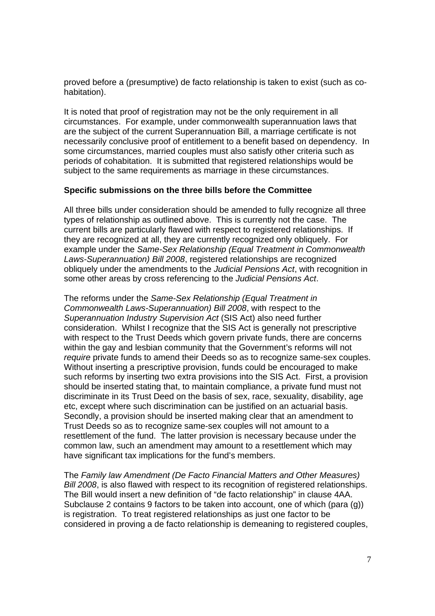proved before a (presumptive) de facto relationship is taken to exist (such as cohabitation).

It is noted that proof of registration may not be the only requirement in all circumstances. For example, under commonwealth superannuation laws that are the subject of the current Superannuation Bill, a marriage certificate is not necessarily conclusive proof of entitlement to a benefit based on dependency. In some circumstances, married couples must also satisfy other criteria such as periods of cohabitation. It is submitted that registered relationships would be subject to the same requirements as marriage in these circumstances.

## **Specific submissions on the three bills before the Committee**

All three bills under consideration should be amended to fully recognize all three types of relationship as outlined above. This is currently not the case. The current bills are particularly flawed with respect to registered relationships. If they are recognized at all, they are currently recognized only obliquely. For example under the *Same-Sex Relationship (Equal Treatment in Commonwealth Laws-Superannuation) Bill 2008*, registered relationships are recognized obliquely under the amendments to the *Judicial Pensions Act*, with recognition in some other areas by cross referencing to the *Judicial Pensions Act*.

The reforms under the *Same-Sex Relationship (Equal Treatment in Commonwealth Laws-Superannuation) Bill 2008*, with respect to the *Superannuation Industry Supervision Act* (SIS Act) also need further consideration. Whilst I recognize that the SIS Act is generally not prescriptive with respect to the Trust Deeds which govern private funds, there are concerns within the gay and lesbian community that the Government's reforms will not *require* private funds to amend their Deeds so as to recognize same-sex couples. Without inserting a prescriptive provision, funds could be encouraged to make such reforms by inserting two extra provisions into the SIS Act. First, a provision should be inserted stating that, to maintain compliance, a private fund must not discriminate in its Trust Deed on the basis of sex, race, sexuality, disability, age etc, except where such discrimination can be justified on an actuarial basis. Secondly, a provision should be inserted making clear that an amendment to Trust Deeds so as to recognize same-sex couples will not amount to a resettlement of the fund. The latter provision is necessary because under the common law, such an amendment may amount to a resettlement which may have significant tax implications for the fund's members.

The *Family law Amendment (De Facto Financial Matters and Other Measures) Bill 2008*, is also flawed with respect to its recognition of registered relationships. The Bill would insert a new definition of "de facto relationship" in clause 4AA. Subclause 2 contains 9 factors to be taken into account, one of which (para (g)) is registration. To treat registered relationships as just one factor to be considered in proving a de facto relationship is demeaning to registered couples,